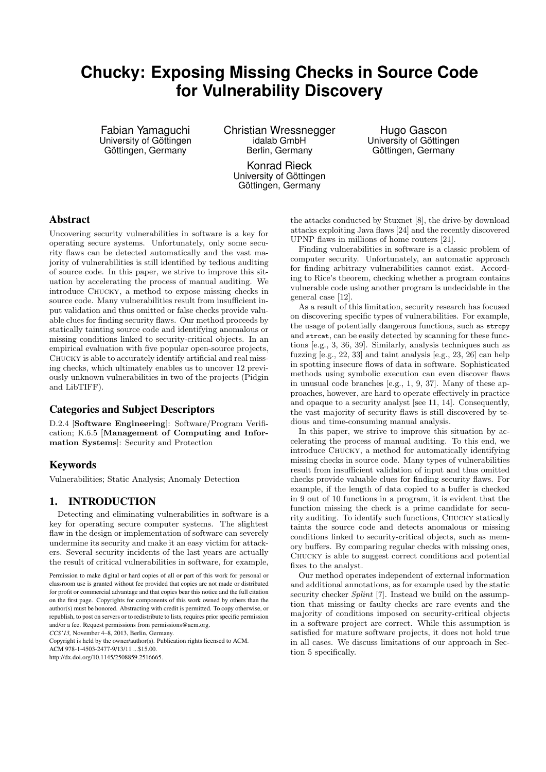# **Chucky: Exposing Missing Checks in Source Code for Vulnerability Discovery**

Fabian Yamaguchi University of Göttingen Göttingen, Germany

Christian Wressnegger idalab GmbH Berlin, Germany

> Konrad Rieck University of Göttingen Göttingen, Germany

Hugo Gascon University of Göttingen Göttingen, Germany

## Abstract

Uncovering security vulnerabilities in software is a key for operating secure systems. Unfortunately, only some security flaws can be detected automatically and the vast majority of vulnerabilities is still identified by tedious auditing of source code. In this paper, we strive to improve this situation by accelerating the process of manual auditing. We introduce Chucky, a method to expose missing checks in source code. Many vulnerabilities result from insufficient input validation and thus omitted or false checks provide valuable clues for finding security flaws. Our method proceeds by statically tainting source code and identifying anomalous or missing conditions linked to security-critical objects. In an empirical evaluation with five popular open-source projects, Chucky is able to accurately identify artificial and real missing checks, which ultimately enables us to uncover 12 previously unknown vulnerabilities in two of the projects (Pidgin and LibTIFF).

# Categories and Subject Descriptors

D.2.4 [Software Engineering]: Software/Program Verification; K.6.5 [Management of Computing and Information Systems]: Security and Protection

## Keywords

Vulnerabilities; Static Analysis; Anomaly Detection

## 1. INTRODUCTION

Detecting and eliminating vulnerabilities in software is a key for operating secure computer systems. The slightest flaw in the design or implementation of software can severely undermine its security and make it an easy victim for attackers. Several security incidents of the last years are actually the result of critical vulnerabilities in software, for example,

*CCS'13,* November 4–8, 2013, Berlin, Germany.

Copyright is held by the owner/author(s). Publication rights licensed to ACM.

ACM 978-1-4503-2477-9/13/11 \$15.00

http://dx.doi.org/10.1145/2508859.2516665.

the attacks conducted by Stuxnet [8], the drive-by download attacks exploiting Java flaws [24] and the recently discovered UPNP flaws in millions of home routers [21].

Finding vulnerabilities in software is a classic problem of computer security. Unfortunately, an automatic approach for finding arbitrary vulnerabilities cannot exist. According to Rice's theorem, checking whether a program contains vulnerable code using another program is undecidable in the general case [12].

As a result of this limitation, security research has focused on discovering specific types of vulnerabilities. For example, the usage of potentially dangerous functions, such as strcpy and strcat, can be easily detected by scanning for these functions [e.g., 3, 36, 39]. Similarly, analysis techniques such as fuzzing [e.g., 22, 33] and taint analysis [e.g., 23, 26] can help in spotting insecure flows of data in software. Sophisticated methods using symbolic execution can even discover flaws in unusual code branches [e.g., 1, 9, 37]. Many of these approaches, however, are hard to operate effectively in practice and opaque to a security analyst [see 11, 14]. Consequently, the vast majority of security flaws is still discovered by tedious and time-consuming manual analysis.

In this paper, we strive to improve this situation by accelerating the process of manual auditing. To this end, we introduce Chucky, a method for automatically identifying missing checks in source code. Many types of vulnerabilities result from insufficient validation of input and thus omitted checks provide valuable clues for finding security flaws. For example, if the length of data copied to a buffer is checked in 9 out of 10 functions in a program, it is evident that the function missing the check is a prime candidate for security auditing. To identify such functions, Chucky statically taints the source code and detects anomalous or missing conditions linked to security-critical objects, such as memory buffers. By comparing regular checks with missing ones, Chucky is able to suggest correct conditions and potential fixes to the analyst.

Our method operates independent of external information and additional annotations, as for example used by the static security checker Splint [7]. Instead we build on the assumption that missing or faulty checks are rare events and the majority of conditions imposed on security-critical objects in a software project are correct. While this assumption is satisfied for mature software projects, it does not hold true in all cases. We discuss limitations of our approach in Section 5 specifically.

Permission to make digital or hard copies of all or part of this work for personal or classroom use is granted without fee provided that copies are not made or distributed for profit or commercial advantage and that copies bear this notice and the full citation on the first page. Copyrights for components of this work owned by others than the author(s) must be honored. Abstracting with credit is permitted. To copy otherwise, or republish, to post on servers or to redistribute to lists, requires prior specific permission and/or a fee. Request permissions from permissions@acm.org.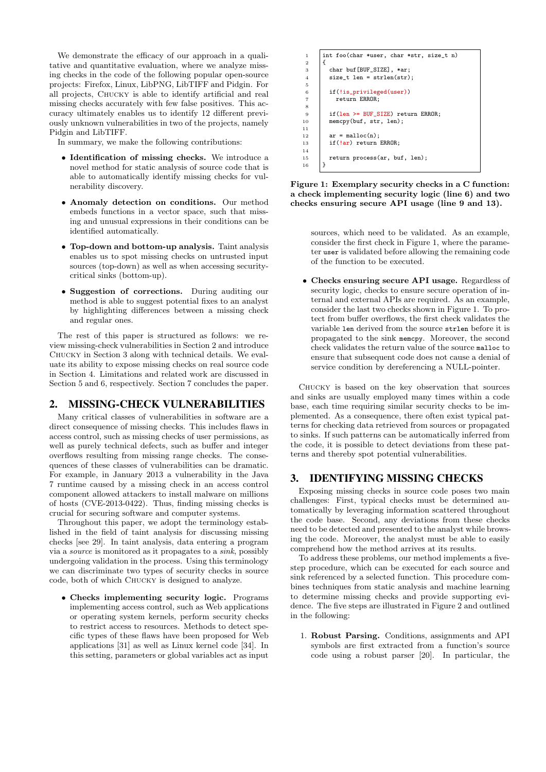We demonstrate the efficacy of our approach in a qualitative and quantitative evaluation, where we analyze missing checks in the code of the following popular open-source projects: Firefox, Linux, LibPNG, LibTIFF and Pidgin. For all projects, Chucky is able to identify artificial and real missing checks accurately with few false positives. This accuracy ultimately enables us to identify 12 different previously unknown vulnerabilities in two of the projects, namely Pidgin and LibTIFF.

In summary, we make the following contributions:

- Identification of missing checks. We introduce a novel method for static analysis of source code that is able to automatically identify missing checks for vulnerability discovery.
- Anomaly detection on conditions. Our method embeds functions in a vector space, such that missing and unusual expressions in their conditions can be identified automatically.
- Top-down and bottom-up analysis. Taint analysis enables us to spot missing checks on untrusted input sources (top-down) as well as when accessing securitycritical sinks (bottom-up).
- Suggestion of corrections. During auditing our method is able to suggest potential fixes to an analyst by highlighting differences between a missing check and regular ones.

The rest of this paper is structured as follows: we review missing-check vulnerabilities in Section 2 and introduce Chucky in Section 3 along with technical details. We evaluate its ability to expose missing checks on real source code in Section 4. Limitations and related work are discussed in Section 5 and 6, respectively. Section 7 concludes the paper.

## 2. MISSING-CHECK VULNERABILITIES

Many critical classes of vulnerabilities in software are a direct consequence of missing checks. This includes flaws in access control, such as missing checks of user permissions, as well as purely technical defects, such as buffer and integer overflows resulting from missing range checks. The consequences of these classes of vulnerabilities can be dramatic. For example, in January 2013 a vulnerability in the Java 7 runtime caused by a missing check in an access control component allowed attackers to install malware on millions of hosts (CVE-2013-0422). Thus, finding missing checks is crucial for securing software and computer systems.

Throughout this paper, we adopt the terminology established in the field of taint analysis for discussing missing checks [see 29]. In taint analysis, data entering a program via a source is monitored as it propagates to a sink, possibly undergoing validation in the process. Using this terminology we can discriminate two types of security checks in source code, both of which Chucky is designed to analyze.

• Checks implementing security logic. Programs implementing access control, such as Web applications or operating system kernels, perform security checks to restrict access to resources. Methods to detect specific types of these flaws have been proposed for Web applications [31] as well as Linux kernel code [34]. In this setting, parameters or global variables act as input

```
1 int foo(char *user, char *str, size t n)
\overline{2}3 char buf[BUF_SIZE], *ar;<br>4 size_t len = strlen(str)
            size t len = strlen(str);
 5
 6 if(!is_privileged(user))<br>
\frac{7}{7}7 return ERROR;
 8
9 if(len >= BUF_SIZE) return ERROR;<br>10 memcpy(buf, str, len);
            memcpy(buf, str, len);
\frac{11}{12}12 \begin{array}{|c|c|}\n 12 & \text{ar} = \text{malloc(n)}; \\
 13 & \text{if (!ar) return}\n\end{array}if(!ar) return ERROR;
14
15 return process(ar, buf, len);
16 }
```
Figure 1: Exemplary security checks in a C function: a check implementing security logic (line 6) and two checks ensuring secure API usage (line 9 and 13).

sources, which need to be validated. As an example, consider the first check in Figure 1, where the parameter user is validated before allowing the remaining code of the function to be executed.

• Checks ensuring secure API usage. Regardless of security logic, checks to ensure secure operation of internal and external APIs are required. As an example, consider the last two checks shown in Figure 1. To protect from buffer overflows, the first check validates the variable len derived from the source strlen before it is propagated to the sink memcpy. Moreover, the second check validates the return value of the source malloc to ensure that subsequent code does not cause a denial of service condition by dereferencing a NULL-pointer.

Chucky is based on the key observation that sources and sinks are usually employed many times within a code base, each time requiring similar security checks to be implemented. As a consequence, there often exist typical patterns for checking data retrieved from sources or propagated to sinks. If such patterns can be automatically inferred from the code, it is possible to detect deviations from these patterns and thereby spot potential vulnerabilities.

## 3. IDENTIFYING MISSING CHECKS

Exposing missing checks in source code poses two main challenges: First, typical checks must be determined automatically by leveraging information scattered throughout the code base. Second, any deviations from these checks need to be detected and presented to the analyst while browsing the code. Moreover, the analyst must be able to easily comprehend how the method arrives at its results.

To address these problems, our method implements a fivestep procedure, which can be executed for each source and sink referenced by a selected function. This procedure combines techniques from static analysis and machine learning to determine missing checks and provide supporting evidence. The five steps are illustrated in Figure 2 and outlined in the following:

1. Robust Parsing. Conditions, assignments and API symbols are first extracted from a function's source code using a robust parser [20]. In particular, the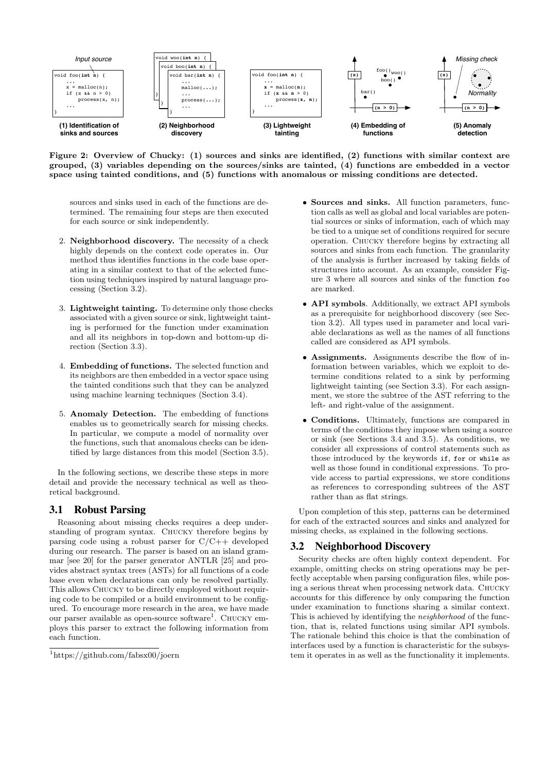

Figure 2: Overview of Chucky: (1) sources and sinks are identified, (2) functions with similar context are grouped, (3) variables depending on the sources/sinks are tainted, (4) functions are embedded in a vector space using tainted conditions, and (5) functions with anomalous or missing conditions are detected.

sources and sinks used in each of the functions are determined. The remaining four steps are then executed for each source or sink independently.

- 2. Neighborhood discovery. The necessity of a check highly depends on the context code operates in. Our method thus identifies functions in the code base operating in a similar context to that of the selected function using techniques inspired by natural language processing (Section 3.2).
- 3. Lightweight tainting. To determine only those checks associated with a given source or sink, lightweight tainting is performed for the function under examination and all its neighbors in top-down and bottom-up direction (Section 3.3).
- 4. Embedding of functions. The selected function and its neighbors are then embedded in a vector space using the tainted conditions such that they can be analyzed using machine learning techniques (Section 3.4).
- 5. Anomaly Detection. The embedding of functions enables us to geometrically search for missing checks. In particular, we compute a model of normality over the functions, such that anomalous checks can be identified by large distances from this model (Section 3.5).

In the following sections, we describe these steps in more detail and provide the necessary technical as well as theoretical background.

# 3.1 Robust Parsing

Reasoning about missing checks requires a deep understanding of program syntax. Chucky therefore begins by parsing code using a robust parser for  $C/C++$  developed during our research. The parser is based on an island grammar [see 20] for the parser generator ANTLR [25] and provides abstract syntax trees (ASTs) for all functions of a code base even when declarations can only be resolved partially. This allows CHUCKY to be directly employed without requiring code to be compiled or a build environment to be configured. To encourage more research in the area, we have made our parser available as open-source software<sup>1</sup>. CHUCKY employs this parser to extract the following information from each function.

- Sources and sinks. All function parameters, function calls as well as global and local variables are potential sources or sinks of information, each of which may be tied to a unique set of conditions required for secure operation. Chucky therefore begins by extracting all sources and sinks from each function. The granularity of the analysis is further increased by taking fields of structures into account. As an example, consider Figure 3 where all sources and sinks of the function foo are marked.
- **API symbols.** Additionally, we extract API symbols as a prerequisite for neighborhood discovery (see Section 3.2). All types used in parameter and local variable declarations as well as the names of all functions called are considered as API symbols.
- Assignments. Assignments describe the flow of information between variables, which we exploit to determine conditions related to a sink by performing lightweight tainting (see Section 3.3). For each assignment, we store the subtree of the AST referring to the left- and right-value of the assignment.
- Conditions. Ultimately, functions are compared in terms of the conditions they impose when using a source or sink (see Sections 3.4 and 3.5). As conditions, we consider all expressions of control statements such as those introduced by the keywords if, for or while as well as those found in conditional expressions. To provide access to partial expressions, we store conditions as references to corresponding subtrees of the AST rather than as flat strings.

Upon completion of this step, patterns can be determined for each of the extracted sources and sinks and analyzed for missing checks, as explained in the following sections.

# 3.2 Neighborhood Discovery

Security checks are often highly context dependent. For example, omitting checks on string operations may be perfectly acceptable when parsing configuration files, while posing a serious threat when processing network data. Chucky accounts for this difference by only comparing the function under examination to functions sharing a similar context. This is achieved by identifying the neighborhood of the function, that is, related functions using similar API symbols. The rationale behind this choice is that the combination of interfaces used by a function is characteristic for the subsystem it operates in as well as the functionality it implements.

<sup>1</sup>https://github.com/fabsx00/joern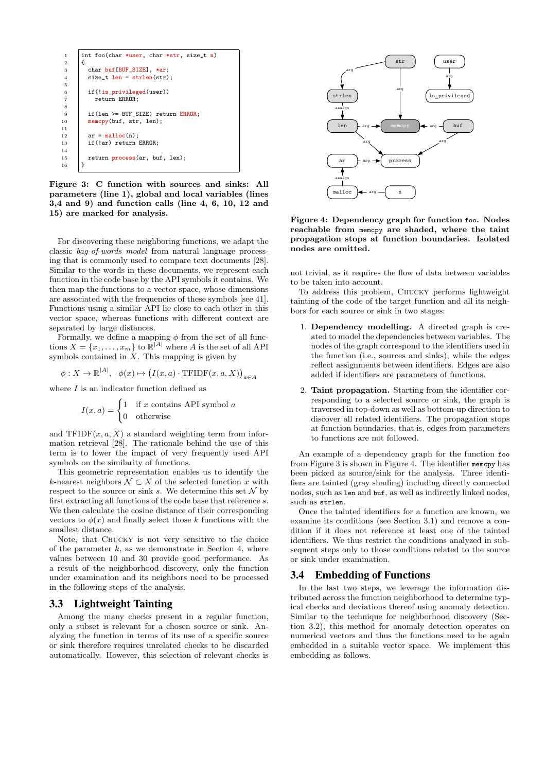

Figure 3: C function with sources and sinks: All parameters (line 1), global and local variables (lines 3,4 and 9) and function calls (line 4, 6, 10, 12 and 15) are marked for analysis.

For discovering these neighboring functions, we adapt the classic bag-of-words model from natural language processing that is commonly used to compare text documents [28]. Similar to the words in these documents, we represent each function in the code base by the API symbols it contains. We then map the functions to a vector space, whose dimensions are associated with the frequencies of these symbols [see 41]. Functions using a similar API lie close to each other in this vector space, whereas functions with different context are separated by large distances.

Formally, we define a mapping  $\phi$  from the set of all functions  $X = \{x_1, \ldots, x_m\}$  to  $\mathbb{R}^{|A|}$  where A is the set of all API symbols contained in  $X$ . This mapping is given by

$$
\phi: X \to \mathbb{R}^{|A|}, \ \ \phi(x) \mapsto \big(I(x,a) \cdot \mathrm{TFIDF}(x,a,X)\big)_{a \in A}
$$

where  $I$  is an indicator function defined as

$$
I(x, a) = \begin{cases} 1 & \text{if } x \text{ contains API symbol } a \\ 0 & \text{otherwise} \end{cases}
$$

and  $TFIDF(x, a, X)$  a standard weighting term from information retrieval [28]. The rationale behind the use of this term is to lower the impact of very frequently used API symbols on the similarity of functions.

This geometric representation enables us to identify the k-nearest neighbors  $\mathcal{N} \subset X$  of the selected function x with respect to the source or sink s. We determine this set  $\mathcal N$  by first extracting all functions of the code base that reference s. We then calculate the cosine distance of their corresponding vectors to  $\phi(x)$  and finally select those k functions with the smallest distance.

Note, that Chucky is not very sensitive to the choice of the parameter  $k$ , as we demonstrate in Section 4, where values between 10 and 30 provide good performance. As a result of the neighborhood discovery, only the function under examination and its neighbors need to be processed in the following steps of the analysis.

## 3.3 Lightweight Tainting

Among the many checks present in a regular function, only a subset is relevant for a chosen source or sink. Analyzing the function in terms of its use of a specific source or sink therefore requires unrelated checks to be discarded automatically. However, this selection of relevant checks is



Figure 4: Dependency graph for function foo. Nodes reachable from memcpy are shaded, where the taint propagation stops at function boundaries. Isolated nodes are omitted.

not trivial, as it requires the flow of data between variables to be taken into account.

To address this problem, Chucky performs lightweight tainting of the code of the target function and all its neighbors for each source or sink in two stages:

- 1. Dependency modelling. A directed graph is created to model the dependencies between variables. The nodes of the graph correspond to the identifiers used in the function (i.e., sources and sinks), while the edges reflect assignments between identifiers. Edges are also added if identifiers are parameters of functions.
- 2. Taint propagation. Starting from the identifier corresponding to a selected source or sink, the graph is traversed in top-down as well as bottom-up direction to discover all related identifiers. The propagation stops at function boundaries, that is, edges from parameters to functions are not followed.

An example of a dependency graph for the function foo from Figure 3 is shown in Figure 4. The identifier memcpy has been picked as source/sink for the analysis. Three identifiers are tainted (gray shading) including directly connected nodes, such as len and buf, as well as indirectly linked nodes, such as strlen.

Once the tainted identifiers for a function are known, we examine its conditions (see Section 3.1) and remove a condition if it does not reference at least one of the tainted identifiers. We thus restrict the conditions analyzed in subsequent steps only to those conditions related to the source or sink under examination.

## 3.4 Embedding of Functions

In the last two steps, we leverage the information distributed across the function neighborhood to determine typical checks and deviations thereof using anomaly detection. Similar to the technique for neighborhood discovery (Section 3.2), this method for anomaly detection operates on numerical vectors and thus the functions need to be again embedded in a suitable vector space. We implement this embedding as follows.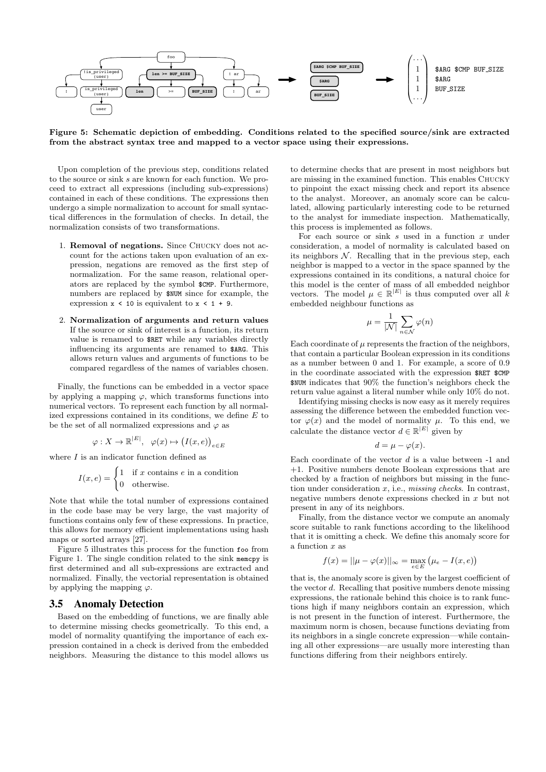

Figure 5: Schematic depiction of embedding. Conditions related to the specified source/sink are extracted from the abstract syntax tree and mapped to a vector space using their expressions.

Upon completion of the previous step, conditions related to the source or sink s are known for each function. We proceed to extract all expressions (including sub-expressions) contained in each of these conditions. The expressions then undergo a simple normalization to account for small syntactical differences in the formulation of checks. In detail, the normalization consists of two transformations.

- 1. Removal of negations. Since Chucky does not account for the actions taken upon evaluation of an expression, negations are removed as the first step of normalization. For the same reason, relational operators are replaced by the symbol \$CMP. Furthermore, numbers are replaced by \$NUM since for example, the expression  $x < 10$  is equivalent to  $x < 1 + 9$ .
- 2. Normalization of arguments and return values If the source or sink of interest is a function, its return value is renamed to \$RET while any variables directly influencing its arguments are renamed to \$ARG. This allows return values and arguments of functions to be compared regardless of the names of variables chosen.

Finally, the functions can be embedded in a vector space by applying a mapping  $\varphi$ , which transforms functions into numerical vectors. To represent each function by all normalized expressions contained in its conditions, we define  $E$  to be the set of all normalized expressions and  $\varphi$  as

$$
\varphi: X \to \mathbb{R}^{|E|}, \quad \varphi(x) \mapsto (I(x, e))_{e \in E}
$$

where  $I$  is an indicator function defined as

$$
I(x, e) = \begin{cases} 1 & \text{if } x \text{ contains } e \text{ in a condition} \\ 0 & \text{otherwise.} \end{cases}
$$

Note that while the total number of expressions contained in the code base may be very large, the vast majority of functions contains only few of these expressions. In practice, this allows for memory efficient implementations using hash maps or sorted arrays [27].

Figure 5 illustrates this process for the function foo from Figure 1. The single condition related to the sink memcpy is first determined and all sub-expressions are extracted and normalized. Finally, the vectorial representation is obtained by applying the mapping  $\varphi$ .

#### 3.5 Anomaly Detection

Based on the embedding of functions, we are finally able to determine missing checks geometrically. To this end, a model of normality quantifying the importance of each expression contained in a check is derived from the embedded neighbors. Measuring the distance to this model allows us

to determine checks that are present in most neighbors but are missing in the examined function. This enables Chucky to pinpoint the exact missing check and report its absence to the analyst. Moreover, an anomaly score can be calculated, allowing particularly interesting code to be returned to the analyst for immediate inspection. Mathematically, this process is implemented as follows.

For each source or sink  $s$  used in a function  $x$  under consideration, a model of normality is calculated based on its neighbors  $N$ . Recalling that in the previous step, each neighbor is mapped to a vector in the space spanned by the expressions contained in its conditions, a natural choice for this model is the center of mass of all embedded neighbor vectors. The model  $\mu \in \mathbb{R}^{|E|}$  is thus computed over all k embedded neighbour functions as

$$
\mu = \frac{1}{|\mathcal{N}|} \sum_{n \in \mathcal{N}} \varphi(n)
$$

Each coordinate of  $\mu$  represents the fraction of the neighbors, that contain a particular Boolean expression in its conditions as a number between 0 and 1. For example, a score of 0.9 in the coordinate associated with the expression \$RET \$CMP \$NUM indicates that 90% the function's neighbors check the return value against a literal number while only 10% do not.

Identifying missing checks is now easy as it merely requires assessing the difference between the embedded function vector  $\varphi(x)$  and the model of normality  $\mu$ . To this end, we calculate the distance vector  $d \in \mathbb{R}^{|E|}$  given by

$$
d = \mu - \varphi(x).
$$

Each coordinate of the vector  $d$  is a value between  $-1$  and +1. Positive numbers denote Boolean expressions that are checked by a fraction of neighbors but missing in the function under consideration  $x$ , i.e., *missing checks*. In contrast, negative numbers denote expressions checked in x but not present in any of its neighbors.

Finally, from the distance vector we compute an anomaly score suitable to rank functions according to the likelihood that it is omitting a check. We define this anomaly score for a function  $x$  as

$$
f(x) = ||\mu - \varphi(x)||_{\infty} = \max_{e \in E} (\mu_e - I(x, e))
$$

that is, the anomaly score is given by the largest coefficient of the vector d. Recalling that positive numbers denote missing expressions, the rationale behind this choice is to rank functions high if many neighbors contain an expression, which is not present in the function of interest. Furthermore, the maximum norm is chosen, because functions deviating from its neighbors in a single concrete expression—while containing all other expressions—are usually more interesting than functions differing from their neighbors entirely.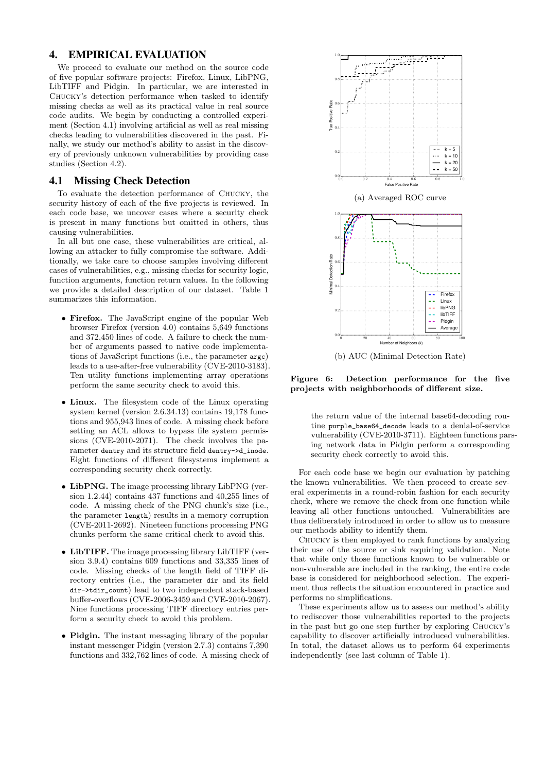## 4. EMPIRICAL EVALUATION

We proceed to evaluate our method on the source code of five popular software projects: Firefox, Linux, LibPNG, LibTIFF and Pidgin. In particular, we are interested in Chucky's detection performance when tasked to identify missing checks as well as its practical value in real source code audits. We begin by conducting a controlled experiment (Section 4.1) involving artificial as well as real missing checks leading to vulnerabilities discovered in the past. Finally, we study our method's ability to assist in the discovery of previously unknown vulnerabilities by providing case studies (Section 4.2).

#### 4.1 Missing Check Detection

To evaluate the detection performance of Chucky, the security history of each of the five projects is reviewed. In each code base, we uncover cases where a security check is present in many functions but omitted in others, thus causing vulnerabilities.

In all but one case, these vulnerabilities are critical, allowing an attacker to fully compromise the software. Additionally, we take care to choose samples involving different cases of vulnerabilities, e.g., missing checks for security logic, function arguments, function return values. In the following we provide a detailed description of our dataset. Table 1 summarizes this information.

- Firefox. The JavaScript engine of the popular Web browser Firefox (version 4.0) contains 5,649 functions and 372,450 lines of code. A failure to check the number of arguments passed to native code implementations of JavaScript functions (i.e., the parameter argc) leads to a use-after-free vulnerability (CVE-2010-3183). Ten utility functions implementing array operations perform the same security check to avoid this.
- Linux. The filesystem code of the Linux operating system kernel (version 2.6.34.13) contains 19,178 functions and 955,943 lines of code. A missing check before setting an ACL allows to bypass file system permissions (CVE-2010-2071). The check involves the parameter dentry and its structure field dentry->d\_inode. Eight functions of different filesystems implement a corresponding security check correctly.
- LibPNG. The image processing library LibPNG (version 1.2.44) contains 437 functions and 40,255 lines of code. A missing check of the PNG chunk's size (i.e., the parameter length) results in a memory corruption (CVE-2011-2692). Nineteen functions processing PNG chunks perform the same critical check to avoid this.
- LibTIFF. The image processing library LibTIFF (version 3.9.4) contains 609 functions and 33,335 lines of code. Missing checks of the length field of TIFF directory entries (i.e., the parameter dir and its field dir->tdir\_count) lead to two independent stack-based buffer-overflows (CVE-2006-3459 and CVE-2010-2067). Nine functions processing TIFF directory entries perform a security check to avoid this problem.
- Pidgin. The instant messaging library of the popular instant messenger Pidgin (version 2.7.3) contains 7,390 functions and 332,762 lines of code. A missing check of



(b) AUC (Minimal Detection Rate)

Figure 6: Detection performance for the five projects with neighborhoods of different size.

the return value of the internal base64-decoding routine purple\_base64\_decode leads to a denial-of-service vulnerability (CVE-2010-3711). Eighteen functions parsing network data in Pidgin perform a corresponding security check correctly to avoid this.

For each code base we begin our evaluation by patching the known vulnerabilities. We then proceed to create several experiments in a round-robin fashion for each security check, where we remove the check from one function while leaving all other functions untouched. Vulnerabilities are thus deliberately introduced in order to allow us to measure our methods ability to identify them.

Chucky is then employed to rank functions by analyzing their use of the source or sink requiring validation. Note that while only those functions known to be vulnerable or non-vulnerable are included in the ranking, the entire code base is considered for neighborhood selection. The experiment thus reflects the situation encountered in practice and performs no simplifications.

These experiments allow us to assess our method's ability to rediscover those vulnerabilities reported to the projects in the past but go one step further by exploring Chucky's capability to discover artificially introduced vulnerabilities. In total, the dataset allows us to perform 64 experiments independently (see last column of Table 1).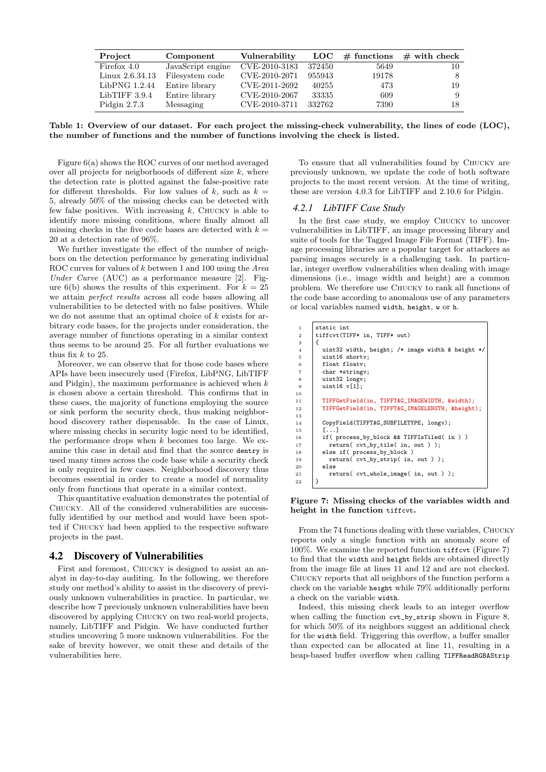| Project         | Component         | Vulnerability | $_{\rm LOC}$ | $\#$ functions | $\#$ with check |
|-----------------|-------------------|---------------|--------------|----------------|-----------------|
| Firefox 4.0     | JavaScript engine | CVE-2010-3183 | 372450       | 5649           | 10              |
| Linux 2.6.34.13 | Filesystem code   | CVE-2010-2071 | 955943       | 19178          | 8               |
| LibPNG 1.2.44   | Entire library    | CVE-2011-2692 | 40255        | 473            | 19              |
| LibTIFF 3.9.4   | Entire library    | CVE-2010-2067 | 33335        | 609            | 9               |
| Pidgin $2.7.3$  | Messaging         | CVE-2010-3711 | 332762       | 7390           | 18              |

Table 1: Overview of our dataset. For each project the missing-check vulnerability, the lines of code (LOC), the number of functions and the number of functions involving the check is listed.

Figure 6(a) shows the ROC curves of our method averaged over all projects for neigborhoods of different size  $k$ , where the detection rate is plotted against the false-positive rate for different thresholds. For low values of k, such as  $k =$ 5, already 50% of the missing checks can be detected with few false positives. With increasing  $k$ , CHUCKY is able to identify more missing conditions, where finally almost all missing checks in the five code bases are detected with  $k =$ 20 at a detection rate of 96%.

We further investigate the effect of the number of neighbors on the detection performance by generating individual ROC curves for values of k between 1 and 100 using the *Area* Under Curve (AUC) as a performance measure  $[2]$ . Figure 6(b) shows the results of this experiment. For  $k = 25$ we attain perfect results across all code bases allowing all vulnerabilities to be detected with no false positives. While we do not assume that an optimal choice of  $k$  exists for arbitrary code bases, for the projects under consideration, the average number of functions operating in a similar context thus seems to be around 25. For all further evaluations we thus fix  $k$  to 25.

Moreover, we can observe that for those code bases where APIs have been insecurely used (Firefox, LibPNG, LibTIFF and Pidgin), the maximum performance is achieved when  $k$ is chosen above a certain threshold. This confirms that in these cases, the majority of functions employing the source or sink perform the security check, thus making neighborhood discovery rather dispensable. In the case of Linux, where missing checks in security logic need to be identified, the performance drops when  $k$  becomes too large. We examine this case in detail and find that the source dentry is used many times across the code base while a security check is only required in few cases. Neighborhood discovery thus becomes essential in order to create a model of normality only from functions that operate in a similar context.

This quantitative evaluation demonstrates the potential of Chucky. All of the considered vulnerabilities are successfully identified by our method and would have been spotted if Chucky had been applied to the respective software projects in the past.

## 4.2 Discovery of Vulnerabilities

First and foremost, Chucky is designed to assist an analyst in day-to-day auditing. In the following, we therefore study our method's ability to assist in the discovery of previously unknown vulnerabilities in practice. In particular, we describe how 7 previously unknown vulnerabilities have been discovered by applying Chucky on two real-world projects, namely, LibTIFF and Pidgin. We have conducted further studies uncovering 5 more unknown vulnerabilities. For the sake of brevity however, we omit these and details of the vulnerabilities here.

To ensure that all vulnerabilities found by Chucky are previously unknown, we update the code of both software projects to the most recent version. At the time of writing, these are version 4.0.3 for LibTIFF and 2.10.6 for Pidgin.

#### *4.2.1 LibTIFF Case Study*

In the first case study, we employ Chucky to uncover vulnerabilities in LibTIFF, an image processing library and suite of tools for the Tagged Image File Format (TIFF). Image processing libraries are a popular target for attackers as parsing images securely is a challenging task. In particular, integer overflow vulnerabilities when dealing with image dimensions (i.e., image width and height) are a common problem. We therefore use Chucky to rank all functions of the code base according to anomalous use of any parameters or local variables named width, height, w or h.

| $\mathbf{1}$   | static int                                       |
|----------------|--------------------------------------------------|
| $\overline{2}$ | tiffcvt(TIFF* in, TIFF* out)                     |
| 3              | €                                                |
| $\overline{4}$ | uint32 width, height; /* image width & height */ |
| 5              | uint16 shortv;                                   |
| 6              | float floatv;                                    |
| $\overline{7}$ | char *stringv;                                   |
| 8              | uint32 longv;                                    |
| 9              | uint16 v[1];                                     |
| 10             |                                                  |
| 11             | TIFFGetField(in, TIFFTAG_IMAGEWIDTH, &width);    |
| 12             | TIFFGetField(in, TIFFTAG_IMAGELENGTH, &height);  |
| 13             |                                                  |
| 14             | CopyField(TIFFTAG_SUBFILETYPE, longv);           |
| 15             | $\lceil \ldots \rceil$                           |
| 16             | if(process_by_block && TIFFIsTiled( in ))        |
| 17             | return(cvt_by_tile(in, out));                    |
| 18             | else if( process_by_block )                      |
| 19             | return(cvt_by_strip(in, out));                   |
| 20             | else                                             |
| $^{21}$        | return(cvt_whole_image(in, out));                |
| 22             | }                                                |
|                |                                                  |

Figure 7: Missing checks of the variables width and height in the function tiffcvt.

From the 74 functions dealing with these variables, Chucky reports only a single function with an anomaly score of 100%. We examine the reported function tiffcvt (Figure 7) to find that the width and height fields are obtained directly from the image file at lines 11 and 12 and are not checked. Chucky reports that all neighbors of the function perform a check on the variable height while 79% additionally perform a check on the variable width.

Indeed, this missing check leads to an integer overflow when calling the function cvt\_by\_strip shown in Figure 8, for which 50% of its neighbors suggest an additional check for the width field. Triggering this overflow, a buffer smaller than expected can be allocated at line 11, resulting in a heap-based buffer overflow when calling TIFFReadRGBAStrip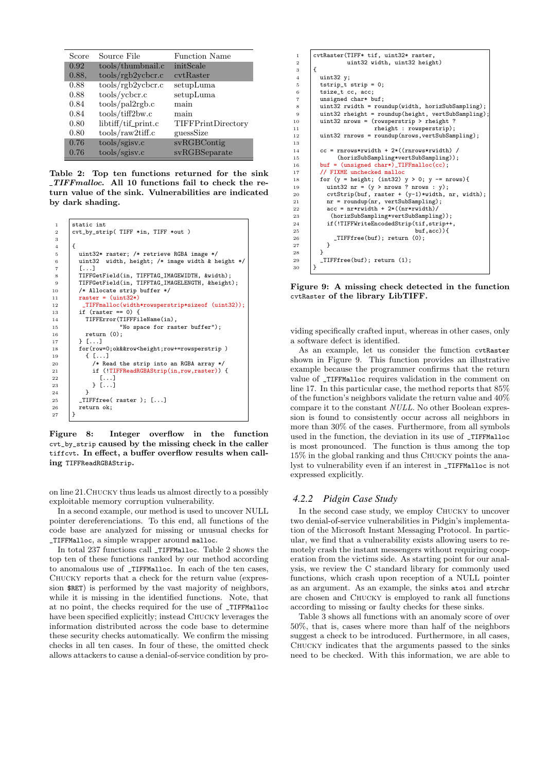| Score | Source File              | <b>Function Name</b> |
|-------|--------------------------|----------------------|
| 0.92  | tools/thumbnail.c        | initScale            |
| 0.88. | tools/rgb2ycbcr.c        | cytRaster            |
| 0.88  | tools/rgb2ycbcr.c        | setupLuma            |
| 0.88  | tools/ycbcr.c            | setupLuma            |
| 0.84  | tools/pal2rgb.c          | main                 |
| 0.84  | tools/tiff2bw.c          | main                 |
| 0.80  | libtiff/tif_print.c      | TIFFPrintDirectory   |
| 0.80  | $tools/raw2\text{tff.c}$ | guessSize            |
| 0.76  | tools/gisv.c             | svRGBContig          |
| 0.76  | tools/sgisv.c            | svRGBSeparate        |

Table 2: Top ten functions returned for the sink TIFFmalloc. All 10 functions fail to check the return value of the sink. Vulnerabilities are indicated by dark shading.

```
1 static int<br>
2 \quad \begin{array}{c} 1 \\ \text{cut\_by\_str} \end{array}2 cvt_by_strip( TIFF *in, TIFF *out )
 3
 \begin{array}{c|c} 4 & \phantom{0} 4 \\ 5 & \phantom{0} \end{array}uint32* raster; /* retrieve RGBA image */
 6 uint32 width, height; /* image width & height */
 7 \mid 1 \cdot8 TIFFGetField(in, TIFFTAG_IMAGEWIDTH, &width);
9 TIFFGetField(in, TIFFTAG_IMAGELENGTH, &height);<br>10 /* Allocate strip buffer */
            /* Allocate strip buffer */
11 \vert raster = (uint32*)
12 _TIFFmalloc(width*rowsperstrip*sizeof (uint32));
13 if (raster == 0) {
14 TIFFError(TIFFFileName(in),<br>15 Wo space for ras
15 Wo space for raster buffer");<br>16 return (0);
               return (0);\begin{array}{c|c} 17 & \rightarrow \end{array} \begin{array}{c} 18 \end{array} \begin{array}{c} \text{for}(100) \end{array}18 for(row=0;ok&&row<height;row+=rowsperstrip )
19 { [...]
20 /* Read the strip into an RGBA array */<br>21 if (!TIFFReadRGBAStrip(in.row.raster))
21 if (!TIFFReadRGBAStrip(in,row,raster)) {<br>22 [...]
\begin{array}{c|c} 22 & \dots \\ 23 & \dots \end{array}\rightarrow [...]2425 | _TIFFfree( raster ); [...]
\begin{array}{c|c}\n 26 \\
 27 \\
 \end{array} return ok;
27 }
```
Figure 8: Integer overflow in the function cvt\_by\_strip caused by the missing check in the caller tiffcvt. In effect, a buffer overflow results when calling TIFFReadRGBAStrip.

on line 21.Chucky thus leads us almost directly to a possibly exploitable memory corruption vulnerability.

In a second example, our method is used to uncover NULL pointer dereferenciations. To this end, all functions of the code base are analyzed for missing or unusual checks for \_TIFFMalloc, a simple wrapper around malloc.

In total 237 functions call \_TIFFMalloc. Table 2 shows the top ten of these functions ranked by our method according to anomalous use of \_TIFFMalloc. In each of the ten cases, Chucky reports that a check for the return value (expression \$RET) is performed by the vast majority of neighbors, while it is missing in the identified functions. Note, that at no point, the checks required for the use of \_TIFFMalloc have been specified explicitly; instead CHUCKY leverages the information distributed across the code base to determine these security checks automatically. We confirm the missing checks in all ten cases. In four of these, the omitted check allows attackers to cause a denial-of-service condition by pro-

```
1 cvtRaster(TIFF* tif, uint32* raster,<br>2 uint32 width, uint32 heigh
                       uint32 width, uint32 height)
\begin{array}{c} 3 \\ 4 \end{array} \begin{array}{c} \end{array}\begin{array}{c|c} 4 & \text{uint32 y;} \\ 5 & \text{tstrip_t} \end{array}tstrip = 0;
\begin{array}{c|c} 6 & \text{tsize\_t cc, acc} \\ 7 & \text{unsigned chark} \end{array}unsigned char* buf:
8 uint32 rwidth = roundup(width, horizSubSampling);
9 uint32 rheight = roundup(height, vertSubSampling)<br>10 uint32 nrows = (rowsperstrip > rheight ?
10 uint32 nrows = (rowsperstrip > rheight ?<br>
theight : rowsperstrip):
11 rheight : rowsperstrip);<br>12 uint32 rnrows = roundup(nrows.vertSubSam
            uint32 rnrows = roundup(nrows,vertSubSampling);
13
14 \vert cc = rnrows*rwidth + 2*((rnrows*rwidth) /
15 (horizSubSampling*vertSubSampling));
16 buf = (\text{unsigned char*})_TIFFmalloc(cc);
17 // FIXME unchecked malloc<br>18 for (y = height; (int32)
            for (y = height; (int32) y > 0; y == nrows){
19 \text{uint32 nr} = (\text{y} > \text{nrows ? nrows : y});<br>20 \text{cvtStrin}(\text{buf. raster} + (\text{y-1})*\text{width.})20 cvtStrip(buf, raster + (y-1)*width, nr, width);
21 | nr = roundup(nr, vertSubSampling);
22 acc = nr*rwidth + 2*((nr*rwidth)/<br>23 (horizSubSampling*vertSubSamplin
23 (horizSubSampling*vertSubSampling));<br>24 if(!TIFFWriteEncodedStrip(tif,strip++
24 if(!TIFFWriteEncodedStrip(tif,strip++,<br>25 buf,acc)){
25 buf,acc)){<br>26 buf): return (0):
              _TIFFfree(buf); return (0);
27 }
\begin{array}{c|c} 28 & \\ 29 & \end{array} ]
            _TIFFfree(buf); return (1);
30 }
```
Figure 9: A missing check detected in the function cvtRaster of the library LibTIFF.

viding specifically crafted input, whereas in other cases, only a software defect is identified.

As an example, let us consider the function cvtRaster shown in Figure 9. This function provides an illustrative example because the programmer confirms that the return value of \_TIFFMalloc requires validation in the comment on line 17. In this particular case, the method reports that 85% of the function's neighbors validate the return value and 40% compare it to the constant NULL. No other Boolean expression is found to consistently occur across all neighbors in more than 30% of the cases. Furthermore, from all symbols used in the function, the deviation in its use of \_TIFFMalloc is most pronounced. The function is thus among the top 15% in the global ranking and thus Chucky points the analyst to vulnerability even if an interest in \_TIFFMalloc is not expressed explicitly.

#### *4.2.2 Pidgin Case Study*

In the second case study, we employ Chucky to uncover two denial-of-service vulnerabilities in Pidgin's implementation of the Microsoft Instant Messaging Protocol. In particular, we find that a vulnerability exists allowing users to remotely crash the instant messengers without requiring cooperation from the victims side. As starting point for our analysis, we review the C standard library for commonly used functions, which crash upon reception of a NULL pointer as an argument. As an example, the sinks atoi and strchr are chosen and Chucky is employed to rank all functions according to missing or faulty checks for these sinks.

Table 3 shows all functions with an anomaly score of over 50%, that is, cases where more than half of the neighbors suggest a check to be introduced. Furthermore, in all cases, Chucky indicates that the arguments passed to the sinks need to be checked. With this information, we are able to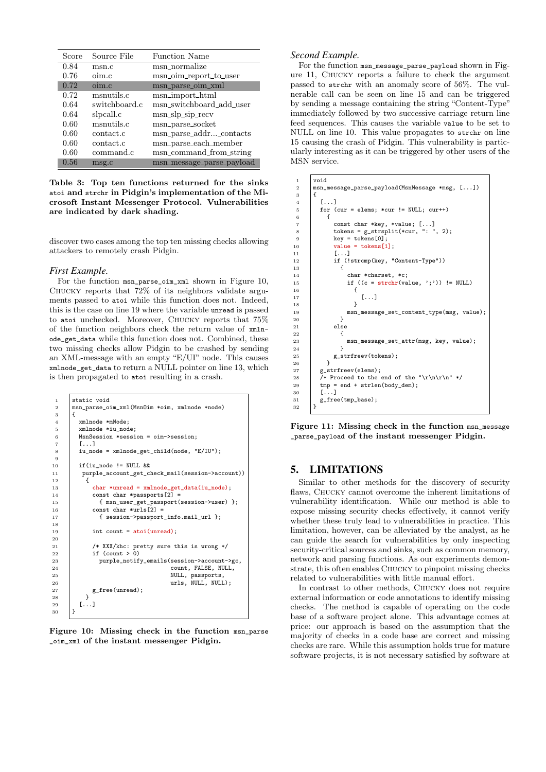| Score | Source File   | <b>Function Name</b>      |
|-------|---------------|---------------------------|
| 0.84  | msn.c         | msn_normalize             |
| 0.76  | oim.c         | msn_oim_report_to_user    |
| 0.72  | oim.c         | msn_parse_oim_xml         |
| 0.72  | msnutils.c    | msn_import_html           |
| 0.64  | switchboard.c | msn_switchboard_add_user  |
| 0.64  | slpcall.c     | $msn_slp_sip_recv$        |
| 0.60  | msnutils.c    | msn_parse_socket          |
| 0.60  | contact.c     | msn_parse_addr_contacts   |
| 0.60  | contact.c     | msn_parse_each_member     |
| 0.60  | command.c     | msn_command_from_string   |
| 0.56  | msg.c         | msn_message_parse_payload |

Table 3: Top ten functions returned for the sinks atoi and strchr in Pidgin's implementation of the Microsoft Instant Messenger Protocol. Vulnerabilities are indicated by dark shading.

discover two cases among the top ten missing checks allowing attackers to remotely crash Pidgin.

#### *First Example.*

For the function msn\_parse\_oim\_xml shown in Figure 10, Chucky reports that 72% of its neighbors validate arguments passed to atoi while this function does not. Indeed, this is the case on line 19 where the variable unread is passed to atoi unchecked. Moreover, Chucky reports that 75% of the function neighbors check the return value of xmlnode\_get\_data while this function does not. Combined, these two missing checks allow Pidgin to be crashed by sending an XML-message with an empty "E/UI" node. This causes xmlnode\_get\_data to return a NULL pointer on line 13, which is then propagated to atoi resulting in a crash.

```
\begin{array}{c|c} 1 & \text{static void} \\ 2 & \text{msn parse o} \end{array}2 msn_parse_oim_xml(MsnOim *oim, xmlnode *node)
 3 \mid \{4 xmlnode *mNode;<br>5 xmlnode *in noc5 xmlnode *iu_node;
 6 MsnSession *session = oim->session;
          [ \ldots ]8 iu_node = xmlnode_get_child(node, "E/IU");
\frac{9}{10}if(iu\_node != NULL &11 | purple_account_get_check_mail(session->account))
\frac{12}{13}char *unread = xmlnode get data(iu_node);
14 \vert const char *passports \vert 2 \vert =
15 { msn_user_get_passport(session->user) };<br>16 const char *urls[2] =
16 const char *urls[2] =<br>17 { session->passport
                  17 { session->passport_info.mail_url };
18
19 int count = atoi(unread);
20
21 /* XXX/khc: pretty sure this is wrong */
22 \vert if (count > 0)
23 purple_notify_emails(session->account->gc,<br>24 count. FALSE. NIILL.
                                             count, FALSE, NULL,
25 NULL, passports,
26 archives are urls, NULL, NULL);
\begin{array}{c|c} 27 & \text{g-free(unread)}; \\ 28 & \text{g} \end{array}\frac{28}{29}\begin{bmatrix} 1 & \cdots & 1 \\ 1 & 1 & \cdots & 1 \\ 1 & 1 & 1 & \cdots & 1 \end{bmatrix}30^{\circ}
```


#### *Second Example.*

For the function msn\_message\_parse\_payload shown in Figure 11, Chucky reports a failure to check the argument passed to strchr with an anomaly score of 56%. The vulnerable call can be seen on line 15 and can be triggered by sending a message containing the string "Content-Type" immediately followed by two successive carriage return line feed sequences. This causes the variable value to be set to NULL on line 10. This value propagates to strchr on line 15 causing the crash of Pidgin. This vulnerability is particularly interesting as it can be triggered by other users of the MSN service.

```
\begin{array}{cc} 1 & \text{void} \\ 2 & \text{msn} \end{array}2 msn_message_parse_payload(MsnMessage *msg, [...])
 \begin{array}{c|c} 3 & \phantom{0}4 \end{array}[.\,.\,.]\begin{array}{c|c}\n5 & \text{for (cur = elements; *cur != NULL; cur++)} \\
6 & \text{if}\n\end{array}\begin{array}{c|c}\n6 & & 6 \\
7 & & \n\end{array}const char *key, *value; [...]<br>tokens = g strsplit(*cur. ": ". 2):
 8 tokens = g_{\text{strsplit}} (*cur, ";<br>9 key = tokens[0];
\begin{array}{c|c}\n 9 & \text{key} = \text{ tokens}[0]; \\
 \hline\n 10 & \text{value} = \text{ tokens}[1]\n \end{array}value = tokens[1];11 [...]<br>
12 if (!strcmp(key, "Content-Type"))
13 \quad 13 \quad 414 char *charset, *c;<br>15 if ((c = strchr(va
                             \begin{array}{ll} \texttt{if } ((\texttt{c = strchr}(\texttt{value}, \ '; \') ) \ \texttt{!} = \texttt{NULL}) \\ \texttt{\{} \end{array}16 {
\begin{array}{c|c} 17 & & \dots \\ 18 & & \n\end{array}18 }
19 msn_message_set_content_type(msg, value);<br>20 }
20 }
21 else
\frac{22}{23}23 msn_message_set_attr(msg, key, value);
\begin{array}{c|c}\n 24 & & & \n\hline\n 25 & & & \n\hline\n \end{array} \begin{array}{c}\n 24 \\
 25\n \end{array}g_strfreev(tokens);
\frac{26}{27}27 g_{\text{a}} g_strfreev(elems);<br>28 /* Proceed to the
28 /* Proceed to the end of the "\r\n\r\n" */<br>29 <br>tmp = end + strlen(body dem).
               tmp = end + strlen(body_dem);30 \quad 1 \quad 5 \ldots31 | g_free(tmp_base);
32 }
```
Figure 11: Missing check in the function msn\_message \_parse\_payload of the instant messenger Pidgin.

## 5. LIMITATIONS

Similar to other methods for the discovery of security flaws, Chucky cannot overcome the inherent limitations of vulnerability identification. While our method is able to expose missing security checks effectively, it cannot verify whether these truly lead to vulnerabilities in practice. This limitation, however, can be alleviated by the analyst, as he can guide the search for vulnerabilities by only inspecting security-critical sources and sinks, such as common memory, network and parsing functions. As our experiments demonstrate, this often enables Chucky to pinpoint missing checks related to vulnerabilities with little manual effort.

In contrast to other methods, Chucky does not require external information or code annotations to identify missing checks. The method is capable of operating on the code base of a software project alone. This advantage comes at price: our approach is based on the assumption that the majority of checks in a code base are correct and missing checks are rare. While this assumption holds true for mature software projects, it is not necessary satisfied by software at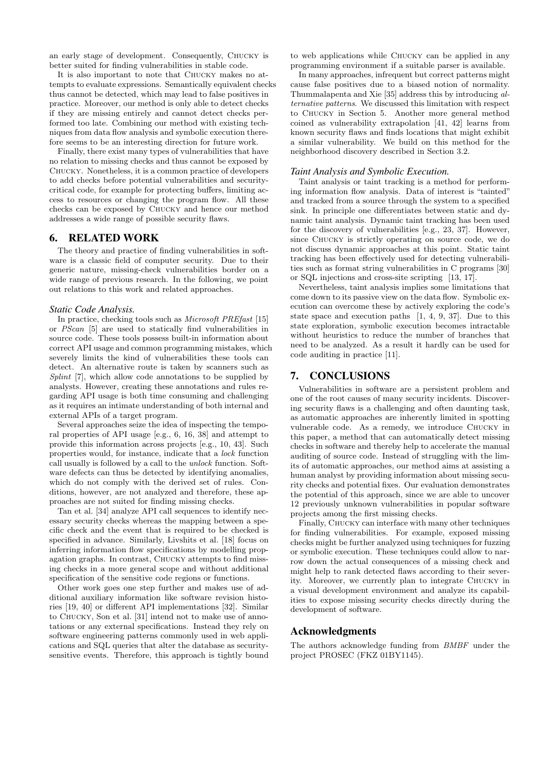an early stage of development. Consequently, Chucky is better suited for finding vulnerabilities in stable code.

It is also important to note that Chucky makes no attempts to evaluate expressions. Semantically equivalent checks thus cannot be detected, which may lead to false positives in practice. Moreover, our method is only able to detect checks if they are missing entirely and cannot detect checks performed too late. Combining our method with existing techniques from data flow analysis and symbolic execution therefore seems to be an interesting direction for future work.

Finally, there exist many types of vulnerabilities that have no relation to missing checks and thus cannot be exposed by Chucky. Nonetheless, it is a common practice of developers to add checks before potential vulnerabilities and securitycritical code, for example for protecting buffers, limiting access to resources or changing the program flow. All these checks can be exposed by Chucky and hence our method addresses a wide range of possible security flaws.

# 6. RELATED WORK

The theory and practice of finding vulnerabilities in software is a classic field of computer security. Due to their generic nature, missing-check vulnerabilities border on a wide range of previous research. In the following, we point out relations to this work and related approaches.

#### *Static Code Analysis.*

In practice, checking tools such as Microsoft PREfast [15] or PScan [5] are used to statically find vulnerabilities in source code. These tools possess built-in information about correct API usage and common programming mistakes, which severely limits the kind of vulnerabilities these tools can detect. An alternative route is taken by scanners such as Splint [7], which allow code annotations to be supplied by analysts. However, creating these annotations and rules regarding API usage is both time consuming and challenging as it requires an intimate understanding of both internal and external APIs of a target program.

Several approaches seize the idea of inspecting the temporal properties of API usage [e.g., 6, 16, 38] and attempt to provide this information across projects [e.g., 10, 43]. Such properties would, for instance, indicate that a lock function call usually is followed by a call to the unlock function. Software defects can thus be detected by identifying anomalies, which do not comply with the derived set of rules. Conditions, however, are not analyzed and therefore, these approaches are not suited for finding missing checks.

Tan et al. [34] analyze API call sequences to identify necessary security checks whereas the mapping between a specific check and the event that is required to be checked is specified in advance. Similarly, Livshits et al. [18] focus on inferring information flow specifications by modelling propagation graphs. In contrast, Chucky attempts to find missing checks in a more general scope and without additional specification of the sensitive code regions or functions.

Other work goes one step further and makes use of additional auxiliary information like software revision histories [19, 40] or different API implementations [32]. Similar to Chucky, Son et al. [31] intend not to make use of annotations or any external specifications. Instead they rely on software engineering patterns commonly used in web applications and SQL queries that alter the database as securitysensitive events. Therefore, this approach is tightly bound

to web applications while Chucky can be applied in any programming environment if a suitable parser is available.

In many approaches, infrequent but correct patterns might cause false positives due to a biased notion of normality. Thummalapenta and Xie [35] address this by introducing alternative patterns. We discussed this limitation with respect to Chucky in Section 5. Another more general method coined as vulnerability extrapolation [41, 42] learns from known security flaws and finds locations that might exhibit a similar vulnerability. We build on this method for the neighborhood discovery described in Section 3.2.

#### *Taint Analysis and Symbolic Execution.*

Taint analysis or taint tracking is a method for performing information flow analysis. Data of interest is "tainted" and tracked from a source through the system to a specified sink. In principle one differentiates between static and dynamic taint analysis. Dynamic taint tracking has been used for the discovery of vulnerabilities [e.g., 23, 37]. However, since Chucky is strictly operating on source code, we do not discuss dynamic approaches at this point. Static taint tracking has been effectively used for detecting vulnerabilities such as format string vulnerabilities in C programs [30] or SQL injections and cross-site scripting [13, 17].

Nevertheless, taint analysis implies some limitations that come down to its passive view on the data flow. Symbolic execution can overcome these by actively exploring the code's state space and execution paths [1, 4, 9, 37]. Due to this state exploration, symbolic execution becomes intractable without heuristics to reduce the number of branches that need to be analyzed. As a result it hardly can be used for code auditing in practice [11].

## 7. CONCLUSIONS

Vulnerabilities in software are a persistent problem and one of the root causes of many security incidents. Discovering security flaws is a challenging and often daunting task, as automatic approaches are inherently limited in spotting vulnerable code. As a remedy, we introduce Chucky in this paper, a method that can automatically detect missing checks in software and thereby help to accelerate the manual auditing of source code. Instead of struggling with the limits of automatic approaches, our method aims at assisting a human analyst by providing information about missing security checks and potential fixes. Our evaluation demonstrates the potential of this approach, since we are able to uncover 12 previously unknown vulnerabilities in popular software projects among the first missing checks.

Finally, Chucky can interface with many other techniques for finding vulnerabilities. For example, exposed missing checks might be further analyzed using techniques for fuzzing or symbolic execution. These techniques could allow to narrow down the actual consequences of a missing check and might help to rank detected flaws according to their severity. Moreover, we currently plan to integrate Chucky in a visual development environment and analyze its capabilities to expose missing security checks directly during the development of software.

#### Acknowledgments

The authors acknowledge funding from BMBF under the project PROSEC (FKZ 01BY1145).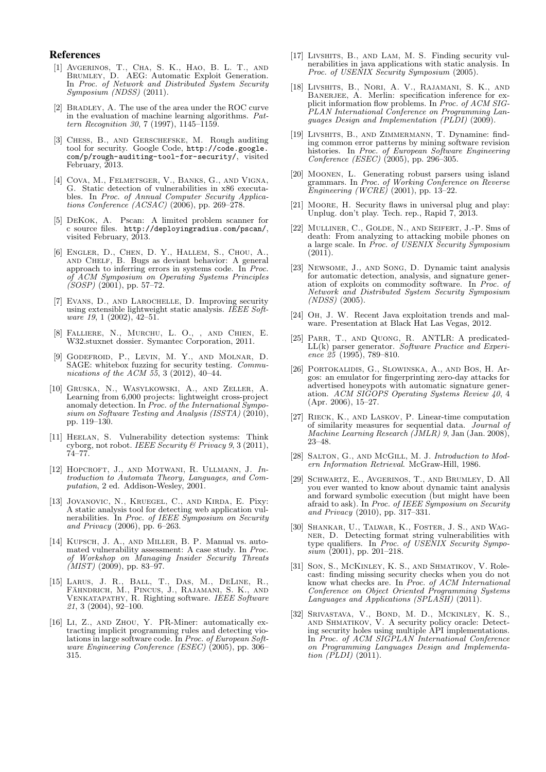#### References

- [1] Avgerinos, T., Cha, S. K., Hao, B. L. T., and Brumley, D. AEG: Automatic Exploit Generation. In Proc. of Network and Distributed System Security Symposium (NDSS) (2011).
- [2] BRADLEY, A. The use of the area under the ROC curve in the evaluation of machine learning algorithms. Pattern Recognition 30, 7 (1997), 1145–1159.
- [3] Chess, B., and Gerschefske, M. Rough auditing tool for security. Google Code, http://code.google. com/p/rough-auditing-tool-for-security/, visited February, 2013.
- [4] COVA, M., FELMETSGER, V., BANKS, G., AND VIGNA, G. Static detection of vulnerabilities in x86 executables. In Proc. of Annual Computer Security Applications Conference  $(ACSAC)$  (2006), pp. 269–278.
- [5] DeKok, A. Pscan: A limited problem scanner for c source files. http://deployingradius.com/pscan/, visited February, 2013.
- [6] Engler, D., Chen, D. Y., Hallem, S., Chou, A., and Chelf, B. Bugs as deviant behavior: A general approach to inferring errors in systems code. In Proc. of ACM Symposium on Operating Systems Principles  $(SOSP)$  (2001), pp. 57–72.
- [7] Evans, D., and Larochelle, D. Improving security using extensible lightweight static analysis. IEEE Software 19, 1 (2002), 42–51.
- [8] Falliere, N., Murchu, L. O., , and Chien, E. W32.stuxnet dossier. Symantec Corporation, 2011.
- [9] Godefroid, P., Levin, M. Y., and Molnar, D. SAGE: whitebox fuzzing for security testing. Communications of the ACM  $55, 3$  (2012), 40–44.
- [10] Gruska, N., Wasylkowski, A., and Zeller, A. Learning from 6,000 projects: lightweight cross-project anomaly detection. In Proc. of the International Symposium on Software Testing and Analysis (ISSTA) (2010), pp. 119–130.
- [11] Heelan, S. Vulnerability detection systems: Think cyborg, not robot. IEEE Security & Privacy 9, 3 (2011), 74–77.
- [12] HOPCROFT, J., AND MOTWANI, R. ULLMANN, J. Introduction to Automata Theory, Languages, and Computation, 2 ed. Addison-Wesley, 2001.
- [13] Jovanovic, N., Kruegel, C., and Kirda, E. Pixy: A static analysis tool for detecting web application vulnerabilities. In Proc. of IEEE Symposium on Security and Privacy (2006), pp. 6–263.
- [14] KUPSCH, J. A., AND MILLER, B. P. Manual vs. automated vulnerability assessment: A case study. In Proc. of Workshop on Managing Insider Security Threats  $(MIST)$  (2009), pp. 83–97.
- [15] Larus, J. R., Ball, T., Das, M., DeLine, R., Fahndrich, M., Pincus, J., Rajamani, S. K., and ¨ VENKATAPATHY, R. Righting software. IEEE Software 21, 3 (2004), 92–100.
- [16] LI, Z., AND ZHOU, Y. PR-Miner: automatically extracting implicit programming rules and detecting violations in large software code. In Proc. of European Software Engineering Conference (ESEC) (2005), pp. 306– 315.
- [17] Livshits, B., and Lam, M. S. Finding security vulnerabilities in java applications with static analysis. In Proc. of USENIX Security Symposium (2005).
- [18] Livshits, B., Nori, A. V., Rajamani, S. K., and BANERJEE, A. Merlin: specification inference for explicit information flow problems. In Proc. of ACM SIG-PLAN International Conference on Programming Languages Design and Implementation (PLDI) (2009).
- [19] Livshits, B., and Zimmermann, T. Dynamine: finding common error patterns by mining software revision histories. In Proc. of European Software Engineering Conference (ESEC) (2005), pp. 296–305.
- [20] Moonen, L. Generating robust parsers using island grammars. In Proc. of Working Conference on Reverse Engineering (WCRE) (2001), pp. 13–22.
- [21] MOORE, H. Security flaws in universal plug and play: Unplug. don't play. Tech. rep., Rapid 7, 2013.
- [22] MULLINER, C., GOLDE, N., AND SEIFERT, J.-P. Sms of death: From analyzing to attacking mobile phones on a large scale. In Proc. of USENIX Security Symposium (2011).
- [23] Newsome, J., and Song, D. Dynamic taint analysis for automatic detection, analysis, and signature generation of exploits on commodity software. In Proc. of Network and Distributed System Security Symposium (NDSS) (2005).
- [24] Oh, J. W. Recent Java exploitation trends and malware. Presentation at Black Hat Las Vegas, 2012.
- [25] Parr, T., and Quong, R. ANTLR: A predicated-LL(k) parser generator. Software Practice and Experience  $25$  (1995), 789–810.
- [26] Portokalidis, G., Slowinska, A., and Bos, H. Argos: an emulator for fingerprinting zero-day attacks for advertised honeypots with automatic signature generation. ACM SIGOPS Operating Systems Review 40, 4 (Apr. 2006), 15–27.
- [27] Rieck, K., and Laskov, P. Linear-time computation of similarity measures for sequential data. Journal of Machine Learning Research  $(\tilde{J}MLR)$  9, Jan (Jan. 2008), 23–48.
- [28] SALTON, G., AND MCGILL, M. J. Introduction to Modern Information Retrieval. McGraw-Hill, 1986.
- [29] Schwartz, E., Avgerinos, T., and Brumley, D. All you ever wanted to know about dynamic taint analysis and forward symbolic execution (but might have been afraid to ask). In Proc. of IEEE Symposium on Security and Privacy (2010), pp. 317–331.
- [30] Shankar, U., Talwar, K., Foster, J. S., and Wagner, D. Detecting format string vulnerabilities with type qualifiers. In Proc. of USENIX Security Symposium (2001), pp. 201–218.
- [31] Son, S., McKinley, K. S., and Shmatikov, V. Rolecast: finding missing security checks when you do not know what checks are. In Proc. of ACM International Conference on Object Oriented Programming Systems Languages and Applications (SPLAŠH) (2011).
- [32] Srivastava, V., Bond, M. D., Mckinley, K. S., and Shmatikov, V. A security policy oracle: Detecting security holes using multiple API implementations. In Proc. of ACM SIGPLAN International Conference on Programming Languages Design and Implementation  $(PLDI)$   $(2011)$ .